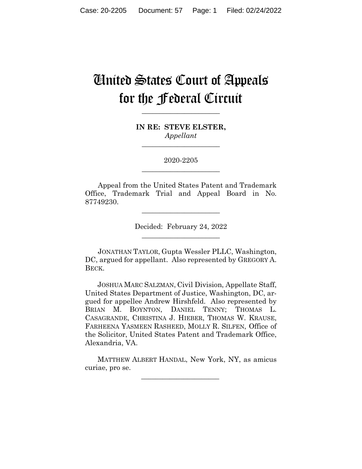# United States Court of Appeals for the Federal Circuit

**\_\_\_\_\_\_\_\_\_\_\_\_\_\_\_\_\_\_\_\_\_\_** 

**IN RE: STEVE ELSTER,** *Appellant*

**\_\_\_\_\_\_\_\_\_\_\_\_\_\_\_\_\_\_\_\_\_\_** 

2020-2205 **\_\_\_\_\_\_\_\_\_\_\_\_\_\_\_\_\_\_\_\_\_\_** 

Appeal from the United States Patent and Trademark Office, Trademark Trial and Appeal Board in No. 87749230.

> Decided: February 24, 2022  $\overline{\phantom{a}}$  , where  $\overline{\phantom{a}}$  , where  $\overline{\phantom{a}}$  , where  $\overline{\phantom{a}}$

 $\overline{\phantom{a}}$  , where  $\overline{\phantom{a}}$  , where  $\overline{\phantom{a}}$  , where  $\overline{\phantom{a}}$ 

JONATHAN TAYLOR, Gupta Wessler PLLC, Washington, DC, argued for appellant. Also represented by GREGORY A. BECK.

 JOSHUA MARC SALZMAN, Civil Division, Appellate Staff, United States Department of Justice, Washington, DC, argued for appellee Andrew Hirshfeld. Also represented by BRIAN M. BOYNTON, DANIEL TENNY; THOMAS L. CASAGRANDE, CHRISTINA J. HIEBER, THOMAS W. KRAUSE, FARHEENA YASMEEN RASHEED, MOLLY R. SILFEN, Office of the Solicitor, United States Patent and Trademark Office, Alexandria, VA.

 MATTHEW ALBERT HANDAL, New York, NY, as amicus curiae, pro se.

 $\mathcal{L}_\text{max}$  and  $\mathcal{L}_\text{max}$  and  $\mathcal{L}_\text{max}$  and  $\mathcal{L}_\text{max}$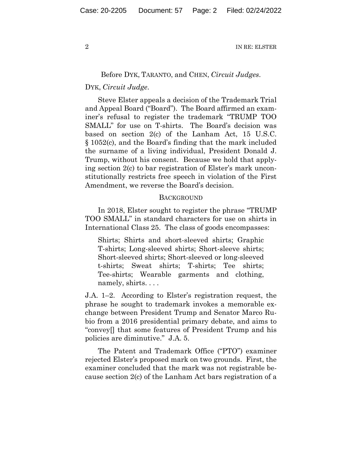## Before DYK, TARANTO, and CHEN, *Circuit Judges*.

## DYK, *Circuit Judge*.

Steve Elster appeals a decision of the Trademark Trial and Appeal Board ("Board"). The Board affirmed an examiner's refusal to register the trademark "TRUMP TOO SMALL" for use on T-shirts. The Board's decision was based on section 2(c) of the Lanham Act, 15 U.S.C. § 1052(c), and the Board's finding that the mark included the surname of a living individual, President Donald J. Trump, without his consent. Because we hold that applying section 2(c) to bar registration of Elster's mark unconstitutionally restricts free speech in violation of the First Amendment, we reverse the Board's decision.

#### **BACKGROUND**

In 2018, Elster sought to register the phrase "TRUMP TOO SMALL" in standard characters for use on shirts in International Class 25. The class of goods encompasses:

Shirts; Shirts and short-sleeved shirts; Graphic T-shirts; Long-sleeved shirts; Short-sleeve shirts; Short-sleeved shirts; Short-sleeved or long-sleeved t-shirts; Sweat shirts; T-shirts; Tee shirts; Tee-shirts; Wearable garments and clothing, namely, shirts. . . .

J.A. 1–2. According to Elster's registration request, the phrase he sought to trademark invokes a memorable exchange between President Trump and Senator Marco Rubio from a 2016 presidential primary debate, and aims to "convey[] that some features of President Trump and his policies are diminutive." J.A. 5.

The Patent and Trademark Office ("PTO") examiner rejected Elster's proposed mark on two grounds. First, the examiner concluded that the mark was not registrable because section 2(c) of the Lanham Act bars registration of a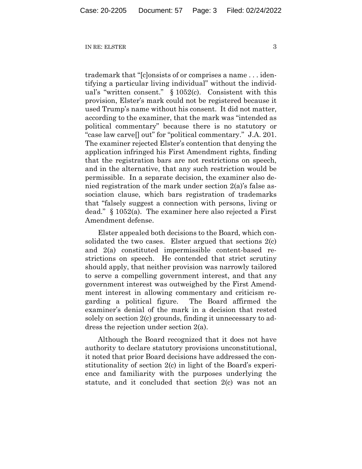trademark that "[c]onsists of or comprises a name . . . identifying a particular living individual" without the individual's "written consent." § 1052(c). Consistent with this provision, Elster's mark could not be registered because it used Trump's name without his consent. It did not matter, according to the examiner, that the mark was "intended as political commentary" because there is no statutory or "case law carve[] out" for "political commentary." J.A. 201. The examiner rejected Elster's contention that denying the application infringed his First Amendment rights, finding that the registration bars are not restrictions on speech, and in the alternative, that any such restriction would be permissible. In a separate decision, the examiner also denied registration of the mark under section 2(a)'s false association clause, which bars registration of trademarks that "falsely suggest a connection with persons, living or dead." § 1052(a). The examiner here also rejected a First Amendment defense.

Elster appealed both decisions to the Board, which consolidated the two cases. Elster argued that sections 2(c) and 2(a) constituted impermissible content-based restrictions on speech. He contended that strict scrutiny should apply, that neither provision was narrowly tailored to serve a compelling government interest, and that any government interest was outweighed by the First Amendment interest in allowing commentary and criticism regarding a political figure. The Board affirmed the examiner's denial of the mark in a decision that rested solely on section 2(c) grounds, finding it unnecessary to address the rejection under section 2(a).

Although the Board recognized that it does not have authority to declare statutory provisions unconstitutional, it noted that prior Board decisions have addressed the constitutionality of section 2(c) in light of the Board's experience and familiarity with the purposes underlying the statute, and it concluded that section 2(c) was not an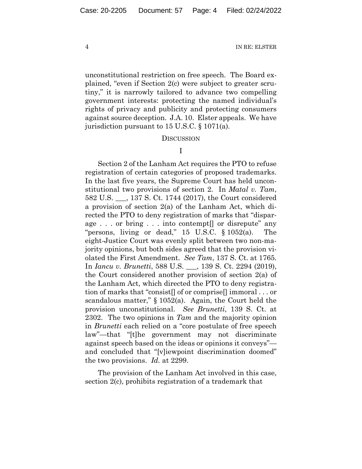unconstitutional restriction on free speech. The Board explained, "even if Section 2(c) were subject to greater scrutiny," it is narrowly tailored to advance two compelling government interests: protecting the named individual's rights of privacy and publicity and protecting consumers against source deception. J.A. 10. Elster appeals. We have jurisdiction pursuant to 15 U.S.C. § 1071(a).

#### **DISCUSSION**

I

Section 2 of the Lanham Act requires the PTO to refuse registration of certain categories of proposed trademarks. In the last five years, the Supreme Court has held unconstitutional two provisions of section 2. In *Matal v. Tam*, 582 U.S. \_\_\_, 137 S. Ct. 1744 (2017), the Court considered a provision of section 2(a) of the Lanham Act, which directed the PTO to deny registration of marks that "disparage . . . or bring . . . into contempt[] or disrepute" any "persons, living or dead," 15 U.S.C. § 1052(a). The eight-Justice Court was evenly split between two non-majority opinions, but both sides agreed that the provision violated the First Amendment. *See Tam*, 137 S. Ct. at 1765. In *Iancu v. Brunetti*, 588 U.S. \_\_\_, 139 S. Ct. 2294 (2019), the Court considered another provision of section 2(a) of the Lanham Act, which directed the PTO to deny registration of marks that "consist[] of or comprise[] immoral . . . or scandalous matter," § 1052(a). Again, the Court held the provision unconstitutional. *See Brunetti*, 139 S. Ct. at 2302. The two opinions in *Tam* and the majority opinion in *Brunetti* each relied on a "core postulate of free speech law"—that "[t]he government may not discriminate against speech based on the ideas or opinions it conveys" and concluded that "[v]iewpoint discrimination doomed" the two provisions. *Id.* at 2299.

The provision of the Lanham Act involved in this case, section 2(c), prohibits registration of a trademark that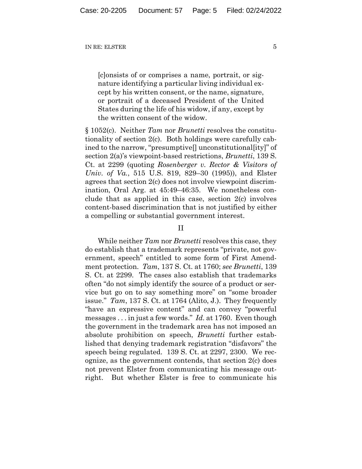[c]onsists of or comprises a name, portrait, or signature identifying a particular living individual except by his written consent, or the name, signature, or portrait of a deceased President of the United States during the life of his widow, if any, except by the written consent of the widow.

§ 1052(c). Neither *Tam* nor *Brunetti* resolves the constitutionality of section 2(c). Both holdings were carefully cabined to the narrow, "presumptive[] unconstitutional[ity]" of section 2(a)'s viewpoint-based restrictions, *Brunetti*, 139 S. Ct. at 2299 (quoting *Rosenberger v. Rector & Visitors of Univ. of Va.*, 515 U.S. 819, 829–30 (1995)), and Elster agrees that section 2(c) does not involve viewpoint discrimination, Oral Arg. at 45:49–46:35. We nonetheless conclude that as applied in this case, section 2(c) involves content-based discrimination that is not justified by either a compelling or substantial government interest.

## II

While neither *Tam* nor *Brunetti* resolves this case, they do establish that a trademark represents "private, not government, speech" entitled to some form of First Amendment protection. *Tam*, 137 S. Ct. at 1760; *see Brunetti*, 139 S. Ct. at 2299. The cases also establish that trademarks often "do not simply identify the source of a product or service but go on to say something more" on "some broader issue." *Tam*, 137 S. Ct. at 1764 (Alito, J.). They frequently "have an expressive content" and can convey "powerful messages . . . in just a few words." *Id.* at 1760. Even though the government in the trademark area has not imposed an absolute prohibition on speech, *Brunetti* further established that denying trademark registration "disfavors" the speech being regulated. 139 S. Ct. at 2297, 2300. We recognize, as the government contends, that section 2(c) does not prevent Elster from communicating his message outright. But whether Elster is free to communicate his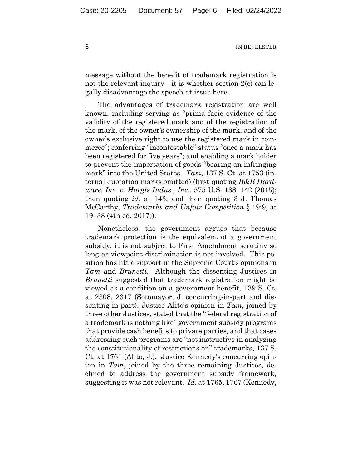message without the benefit of trademark registration is not the relevant inquiry—it is whether section 2(c) can legally disadvantage the speech at issue here.

The advantages of trademark registration are well known, including serving as "prima facie evidence of the validity of the registered mark and of the registration of the mark, of the owner's ownership of the mark, and of the owner's exclusive right to use the registered mark in commerce"; conferring "incontestable" status "once a mark has been registered for five years"; and enabling a mark holder to prevent the importation of goods "bearing an infringing mark" into the United States. *Tam*, 137 S. Ct. at 1753 (internal quotation marks omitted) (first quoting *B&B Hardware, Inc. v. Hargis Indus., Inc.*, 575 U.S. 138, 142 (2015); then quoting *id.* at 143; and then quoting 3 J. Thomas McCarthy, *Trademarks and Unfair Competition* § 19:9, at 19–38 (4th ed. 2017)).

Nonetheless, the government argues that because trademark protection is the equivalent of a government subsidy, it is not subject to First Amendment scrutiny so long as viewpoint discrimination is not involved. This position has little support in the Supreme Court's opinions in *Tam* and *Brunetti*. Although the dissenting Justices in *Brunetti* suggested that trademark registration might be viewed as a condition on a government benefit, 139 S. Ct. at 2308, 2317 (Sotomayor, J. concurring-in-part and dissenting-in-part), Justice Alito's opinion in *Tam*, joined by three other Justices, stated that the "federal registration of a trademark is nothing like" government subsidy programs that provide cash benefits to private parties, and that cases addressing such programs are "not instructive in analyzing the constitutionality of restrictions on" trademarks, 137 S. Ct. at 1761 (Alito, J.). Justice Kennedy's concurring opinion in *Tam*, joined by the three remaining Justices, declined to address the government subsidy framework, suggesting it was not relevant. *Id.* at 1765, 1767 (Kennedy,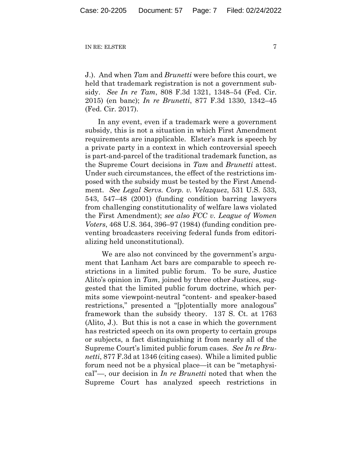J.). And when *Tam* and *Brunetti* were before this court, we held that trademark registration is not a government subsidy. *See In re Tam*, 808 F.3d 1321, 1348–54 (Fed. Cir. 2015) (en banc); *In re Brunetti*, 877 F.3d 1330, 1342–45 (Fed. Cir. 2017).

In any event, even if a trademark were a government subsidy, this is not a situation in which First Amendment requirements are inapplicable. Elster's mark is speech by a private party in a context in which controversial speech is part-and-parcel of the traditional trademark function, as the Supreme Court decisions in *Tam* and *Brunetti* attest. Under such circumstances, the effect of the restrictions imposed with the subsidy must be tested by the First Amendment. *See Legal Servs. Corp. v. Velazquez*, 531 U.S. 533, 543, 547–48 (2001) (funding condition barring lawyers from challenging constitutionality of welfare laws violated the First Amendment); *see also FCC v. League of Women Voters*, 468 U.S. 364, 396–97 (1984) (funding condition preventing broadcasters receiving federal funds from editorializing held unconstitutional).

 We are also not convinced by the government's argument that Lanham Act bars are comparable to speech restrictions in a limited public forum. To be sure, Justice Alito's opinion in *Tam*, joined by three other Justices, suggested that the limited public forum doctrine, which permits some viewpoint-neutral "content- and speaker-based restrictions," presented a "[p]otentially more analogous" framework than the subsidy theory. 137 S. Ct. at 1763 (Alito, J.). But this is not a case in which the government has restricted speech on its own property to certain groups or subjects, a fact distinguishing it from nearly all of the Supreme Court's limited public forum cases. *See In re Brunetti*, 877 F.3d at 1346 (citing cases). While a limited public forum need not be a physical place—it can be "metaphysical"—, our decision in *In re Brunetti* noted that when the Supreme Court has analyzed speech restrictions in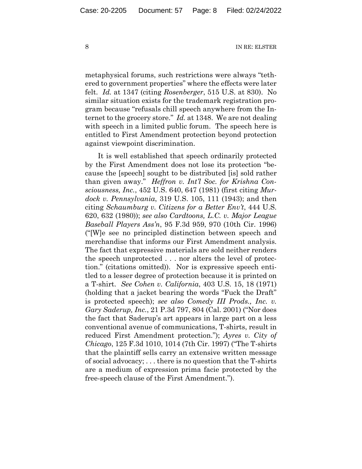metaphysical forums, such restrictions were always "tethered to government properties" where the effects were later felt. *Id.* at 1347 (citing *Rosenberger*, 515 U.S. at 830). No similar situation exists for the trademark registration program because "refusals chill speech anywhere from the Internet to the grocery store." *Id.* at 1348. We are not dealing with speech in a limited public forum. The speech here is entitled to First Amendment protection beyond protection against viewpoint discrimination.

It is well established that speech ordinarily protected by the First Amendment does not lose its protection "because the [speech] sought to be distributed [is] sold rather than given away." *Heffron v. Int'l Soc. for Krishna Consciousness, Inc.*, 452 U.S. 640, 647 (1981) (first citing *Murdock v. Pennsylvania*, 319 U.S. 105, 111 (1943); and then citing *Schaumburg v. Citizens for a Better Env't*, 444 U.S. 620, 632 (1980)); *see also Cardtoons, L.C. v. Major League Baseball Players Ass'n*, 95 F.3d 959, 970 (10th Cir. 1996) ("[W]e see no principled distinction between speech and merchandise that informs our First Amendment analysis. The fact that expressive materials are sold neither renders the speech unprotected . . . nor alters the level of protection." (citations omitted)). Nor is expressive speech entitled to a lesser degree of protection because it is printed on a T-shirt. *See Cohen v. California*, 403 U.S. 15, 18 (1971) (holding that a jacket bearing the words "Fuck the Draft" is protected speech); *see also Comedy III Prods., Inc. v. Gary Saderup, Inc.*, 21 P.3d 797, 804 (Cal. 2001) ("Nor does the fact that Saderup's art appears in large part on a less conventional avenue of communications, T-shirts, result in reduced First Amendment protection."); *Ayres v. City of Chicago*, 125 F.3d 1010, 1014 (7th Cir. 1997) ("The T-shirts that the plaintiff sells carry an extensive written message of social advocacy; . . . there is no question that the T-shirts are a medium of expression prima facie protected by the free-speech clause of the First Amendment.").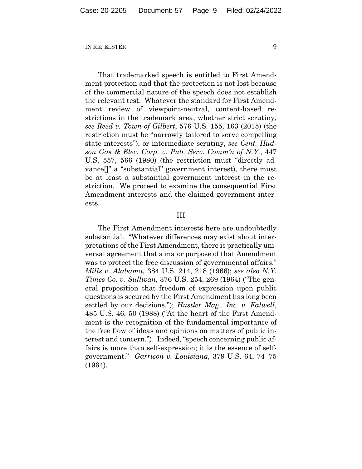That trademarked speech is entitled to First Amendment protection and that the protection is not lost because of the commercial nature of the speech does not establish the relevant test. Whatever the standard for First Amendment review of viewpoint-neutral, content-based restrictions in the trademark area, whether strict scrutiny, *see Reed v. Town of Gilbert*, 576 U.S. 155, 163 (2015) (the restriction must be "narrowly tailored to serve compelling state interests"), or intermediate scrutiny, *see Cent. Hudson Gas & Elec. Corp. v. Pub. Serv. Comm'n of N.Y.*, 447 U.S. 557, 566 (1980) (the restriction must "directly advance[]" a "substantial" government interest), there must be at least a substantial government interest in the restriction. We proceed to examine the consequential First Amendment interests and the claimed government interests.

#### III

The First Amendment interests here are undoubtedly substantial. "Whatever differences may exist about interpretations of the First Amendment, there is practically universal agreement that a major purpose of that Amendment was to protect the free discussion of governmental affairs." *Mills v. Alabama*, 384 U.S. 214, 218 (1966); *see also N.Y. Times Co. v. Sullivan*, 376 U.S. 254, 269 (1964) ("The general proposition that freedom of expression upon public questions is secured by the First Amendment has long been settled by our decisions."); *Hustler Mag., Inc. v. Falwell*, 485 U.S. 46, 50 (1988) ("At the heart of the First Amendment is the recognition of the fundamental importance of the free flow of ideas and opinions on matters of public interest and concern."). Indeed, "speech concerning public affairs is more than self-expression; it is the essence of selfgovernment." *Garrison v. Louisiana*, 379 U.S. 64, 74–75 (1964).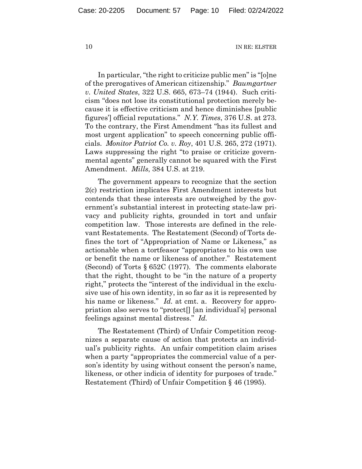In particular, "the right to criticize public men" is "[o]ne of the prerogatives of American citizenship." *Baumgartner v. United States*, 322 U.S. 665, 673–74 (1944). Such criticism "does not lose its constitutional protection merely because it is effective criticism and hence diminishes [public figures'] official reputations." *N.Y. Times*, 376 U.S. at 273. To the contrary, the First Amendment "has its fullest and most urgent application" to speech concerning public officials. *Monitor Patriot Co. v. Roy*, 401 U.S. 265, 272 (1971). Laws suppressing the right "to praise or criticize governmental agents" generally cannot be squared with the First Amendment. *Mills*, 384 U.S. at 219.

The government appears to recognize that the section 2(c) restriction implicates First Amendment interests but contends that these interests are outweighed by the government's substantial interest in protecting state-law privacy and publicity rights, grounded in tort and unfair competition law. Those interests are defined in the relevant Restatements. The Restatement (Second) of Torts defines the tort of "Appropriation of Name or Likeness," as actionable when a tortfeasor "appropriates to his own use or benefit the name or likeness of another." Restatement (Second) of Torts § 652C (1977). The comments elaborate that the right, thought to be "in the nature of a property right," protects the "interest of the individual in the exclusive use of his own identity, in so far as it is represented by his name or likeness." *Id.* at cmt. a. Recovery for appropriation also serves to "protect[] [an individual's] personal feelings against mental distress." *Id.*

The Restatement (Third) of Unfair Competition recognizes a separate cause of action that protects an individual's publicity rights. An unfair competition claim arises when a party "appropriates the commercial value of a person's identity by using without consent the person's name, likeness, or other indicia of identity for purposes of trade." Restatement (Third) of Unfair Competition § 46 (1995).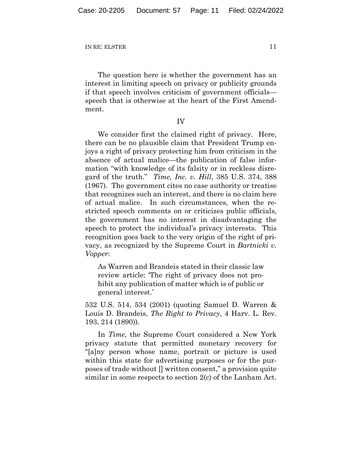The question here is whether the government has an interest in limiting speech on privacy or publicity grounds if that speech involves criticism of government officials speech that is otherwise at the heart of the First Amendment.

IV

We consider first the claimed right of privacy. Here, there can be no plausible claim that President Trump enjoys a right of privacy protecting him from criticism in the absence of actual malice—the publication of false information "with knowledge of its falsity or in reckless disregard of the truth." *Time, Inc. v. Hill*, 385 U.S. 374, 388 (1967). The government cites no case authority or treatise that recognizes such an interest, and there is no claim here of actual malice. In such circumstances, when the restricted speech comments on or criticizes public officials, the government has no interest in disadvantaging the speech to protect the individual's privacy interests. This recognition goes back to the very origin of the right of privacy, as recognized by the Supreme Court in *Bartnicki v. Vopper*:

As Warren and Brandeis stated in their classic law review article: 'The right of privacy does not prohibit any publication of matter which is of public or general interest.'

532 U.S. 514, 534 (2001) (quoting Samuel D. Warren & Louis D. Brandeis, *The Right to Privacy*, 4 Harv. L. Rev. 193, 214 (1890)).

In *Time*, the Supreme Court considered a New York privacy statute that permitted monetary recovery for "[a]ny person whose name, portrait or picture is used within this state for advertising purposes or for the purposes of trade without [] written consent," a provision quite similar in some respects to section 2(c) of the Lanham Act.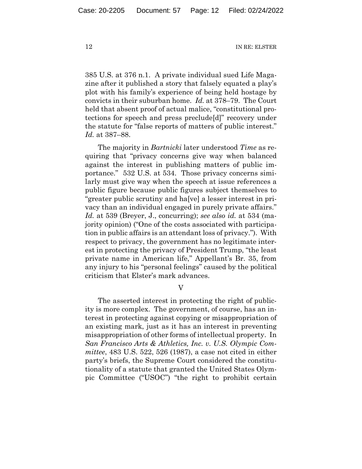385 U.S. at 376 n.1. A private individual sued Life Magazine after it published a story that falsely equated a play's plot with his family's experience of being held hostage by convicts in their suburban home. *Id.* at 378–79. The Court held that absent proof of actual malice, "constitutional protections for speech and press preclude[d]" recovery under the statute for "false reports of matters of public interest." *Id.* at 387–88.

The majority in *Bartnicki* later understood *Time* as requiring that "privacy concerns give way when balanced against the interest in publishing matters of public importance." 532 U.S. at 534. Those privacy concerns similarly must give way when the speech at issue references a public figure because public figures subject themselves to "greater public scrutiny and ha[ve] a lesser interest in privacy than an individual engaged in purely private affairs." *Id.* at 539 (Breyer, J., concurring); *see also id.* at 534 (majority opinion) ("One of the costs associated with participation in public affairs is an attendant loss of privacy."). With respect to privacy, the government has no legitimate interest in protecting the privacy of President Trump, "the least private name in American life," Appellant's Br. 35, from any injury to his "personal feelings" caused by the political criticism that Elster's mark advances.

V

The asserted interest in protecting the right of publicity is more complex. The government, of course, has an interest in protecting against copying or misappropriation of an existing mark, just as it has an interest in preventing misappropriation of other forms of intellectual property. In *San Francisco Arts & Athletics, Inc. v. U.S. Olympic Committee*, 483 U.S. 522, 526 (1987), a case not cited in either party's briefs, the Supreme Court considered the constitutionality of a statute that granted the United States Olympic Committee ("USOC") "the right to prohibit certain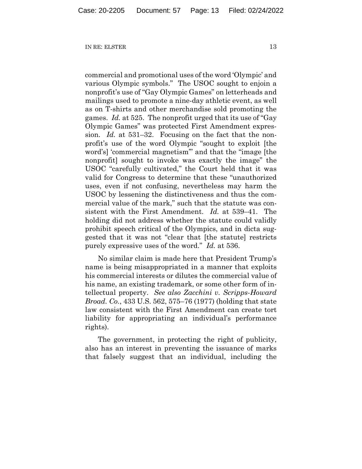commercial and promotional uses of the word 'Olympic' and various Olympic symbols." The USOC sought to enjoin a nonprofit's use of "Gay Olympic Games" on letterheads and mailings used to promote a nine-day athletic event, as well as on T-shirts and other merchandise sold promoting the games. *Id.* at 525. The nonprofit urged that its use of "Gay Olympic Games" was protected First Amendment expression. *Id.* at 531–32. Focusing on the fact that the nonprofit's use of the word Olympic "sought to exploit [the word's] 'commercial magnetism'" and that the "image [the nonprofit] sought to invoke was exactly the image" the USOC "carefully cultivated," the Court held that it was valid for Congress to determine that these "unauthorized uses, even if not confusing, nevertheless may harm the USOC by lessening the distinctiveness and thus the commercial value of the mark," such that the statute was consistent with the First Amendment. *Id.* at 539–41. The holding did not address whether the statute could validly prohibit speech critical of the Olympics, and in dicta suggested that it was not "clear that [the statute] restricts purely expressive uses of the word." *Id.* at 536.

No similar claim is made here that President Trump's name is being misappropriated in a manner that exploits his commercial interests or dilutes the commercial value of his name, an existing trademark, or some other form of intellectual property. *See also Zacchini v. Scripps-Howard Broad. Co.*, 433 U.S. 562, 575–76 (1977) (holding that state law consistent with the First Amendment can create tort liability for appropriating an individual's performance rights).

The government, in protecting the right of publicity, also has an interest in preventing the issuance of marks that falsely suggest that an individual, including the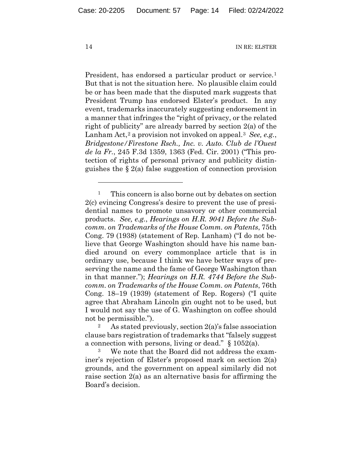President, has endorsed a particular product or service.<sup>1</sup> But that is not the situation here. No plausible claim could be or has been made that the disputed mark suggests that President Trump has endorsed Elster's product. In any event, trademarks inaccurately suggesting endorsement in a manner that infringes the "right of privacy, or the related right of publicity" are already barred by section 2(a) of the Lanham Act,<sup>2</sup> a provision not invoked on appeal.<sup>3</sup> *See, e.g.*, *Bridgestone/Firestone Rsch., Inc. v. Auto. Club de l'Ouest de la Fr.*, 245 F.3d 1359, 1363 (Fed. Cir. 2001) ("This protection of rights of personal privacy and publicity distinguishes the § 2(a) false suggestion of connection provision

<sup>&</sup>lt;sup>1</sup> This concern is also borne out by debates on section 2(c) evincing Congress's desire to prevent the use of presidential names to promote unsavory or other commercial products. *See, e.g.*, *Hearings on H.R. 9041 Before the Subcomm. on Trademarks of the House Comm. on Patents*, 75th Cong. 79 (1938) (statement of Rep. Lanham) ("I do not believe that George Washington should have his name bandied around on every commonplace article that is in ordinary use, because I think we have better ways of preserving the name and the fame of George Washington than in that manner."); *Hearings on H.R. 4744 Before the Subcomm. on Trademarks of the House Comm. on Patents*, 76th Cong. 18–19 (1939) (statement of Rep. Rogers) ("I quite agree that Abraham Lincoln gin ought not to be used, but I would not say the use of G. Washington on coffee should not be permissible.").

<sup>&</sup>lt;sup>2</sup> As stated previously, section  $2(a)$ 's false association clause bars registration of trademarks that "falsely suggest a connection with persons, living or dead." § 1052(a).

<sup>3</sup> We note that the Board did not address the examiner's rejection of Elster's proposed mark on section 2(a) grounds, and the government on appeal similarly did not raise section 2(a) as an alternative basis for affirming the Board's decision.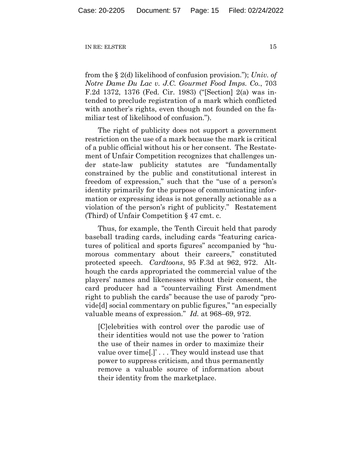from the § 2(d) likelihood of confusion provision."); *Univ. of Notre Dame Du Lac v. J.C. Gourmet Food Imps. Co.*, 703 F.2d 1372, 1376 (Fed. Cir. 1983) ("[Section] 2(a) was intended to preclude registration of a mark which conflicted with another's rights, even though not founded on the familiar test of likelihood of confusion.").

The right of publicity does not support a government restriction on the use of a mark because the mark is critical of a public official without his or her consent. The Restatement of Unfair Competition recognizes that challenges under state-law publicity statutes are "fundamentally constrained by the public and constitutional interest in freedom of expression," such that the "use of a person's identity primarily for the purpose of communicating information or expressing ideas is not generally actionable as a violation of the person's right of publicity." Restatement (Third) of Unfair Competition § 47 cmt. c.

Thus, for example, the Tenth Circuit held that parody baseball trading cards, including cards "featuring caricatures of political and sports figures" accompanied by "humorous commentary about their careers," constituted protected speech. *Cardtoons*, 95 F.3d at 962, 972. Although the cards appropriated the commercial value of the players' names and likenesses without their consent, the card producer had a "countervailing First Amendment right to publish the cards" because the use of parody "provide[d] social commentary on public figures," "an especially valuable means of expression." *Id.* at 968–69, 972.

[C]elebrities with control over the parodic use of their identities would not use the power to 'ration the use of their names in order to maximize their value over time[.]' . . . They would instead use that power to suppress criticism, and thus permanently remove a valuable source of information about their identity from the marketplace.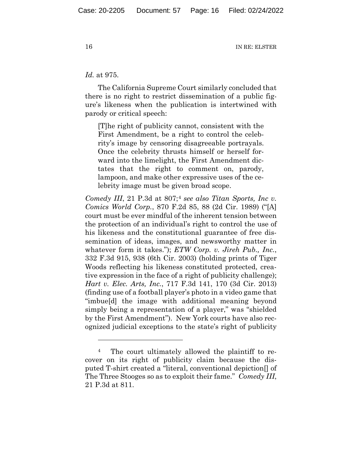#### *Id.* at 975.

The California Supreme Court similarly concluded that there is no right to restrict dissemination of a public figure's likeness when the publication is intertwined with parody or critical speech:

[T]he right of publicity cannot, consistent with the First Amendment, be a right to control the celebrity's image by censoring disagreeable portrayals. Once the celebrity thrusts himself or herself forward into the limelight, the First Amendment dictates that the right to comment on, parody, lampoon, and make other expressive uses of the celebrity image must be given broad scope.

*Comedy III*, 21 P.3d at 807;<sup>4</sup> see also Titan Sports, Inc v. *Comics World Corp.*, 870 F.2d 85, 88 (2d Cir. 1989) ("[A] court must be ever mindful of the inherent tension between the protection of an individual's right to control the use of his likeness and the constitutional guarantee of free dissemination of ideas, images, and newsworthy matter in whatever form it takes."); *ETW Corp. v. Jireh Pub., Inc.*, 332 F.3d 915, 938 (6th Cir. 2003) (holding prints of Tiger Woods reflecting his likeness constituted protected, creative expression in the face of a right of publicity challenge); *Hart v. Elec. Arts, Inc.*, 717 F.3d 141, 170 (3d Cir. 2013) (finding use of a football player's photo in a video game that "imbue[d] the image with additional meaning beyond simply being a representation of a player," was "shielded by the First Amendment"). New York courts have also recognized judicial exceptions to the state's right of publicity

<sup>&</sup>lt;sup>4</sup> The court ultimately allowed the plaintiff to recover on its right of publicity claim because the disputed T-shirt created a "literal, conventional depiction[] of The Three Stooges so as to exploit their fame." *Comedy III*, 21 P.3d at 811.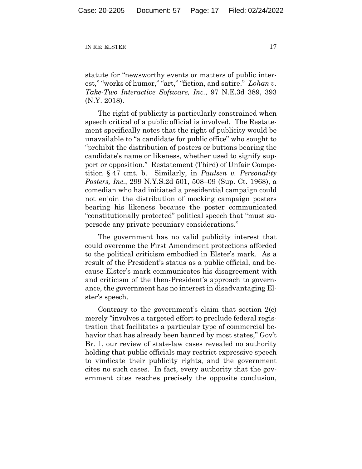statute for "newsworthy events or matters of public interest," "works of humor," "art," "fiction, and satire." *Lohan v. Take-Two Interactive Software, Inc.*, 97 N.E.3d 389, 393 (N.Y. 2018).

The right of publicity is particularly constrained when speech critical of a public official is involved. The Restatement specifically notes that the right of publicity would be unavailable to "a candidate for public office" who sought to "prohibit the distribution of posters or buttons bearing the candidate's name or likeness, whether used to signify support or opposition." Restatement (Third) of Unfair Competition § 47 cmt. b. Similarly, in *Paulsen v. Personality Posters, Inc.*, 299 N.Y.S.2d 501, 508–09 (Sup. Ct. 1968), a comedian who had initiated a presidential campaign could not enjoin the distribution of mocking campaign posters bearing his likeness because the poster communicated "constitutionally protected" political speech that "must supersede any private pecuniary considerations."

The government has no valid publicity interest that could overcome the First Amendment protections afforded to the political criticism embodied in Elster's mark. As a result of the President's status as a public official, and because Elster's mark communicates his disagreement with and criticism of the then-President's approach to governance, the government has no interest in disadvantaging Elster's speech.

Contrary to the government's claim that section 2(c) merely "involves a targeted effort to preclude federal registration that facilitates a particular type of commercial behavior that has already been banned by most states," Gov't Br. 1, our review of state-law cases revealed no authority holding that public officials may restrict expressive speech to vindicate their publicity rights, and the government cites no such cases. In fact, every authority that the government cites reaches precisely the opposite conclusion,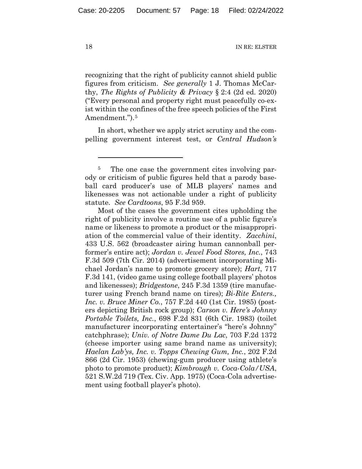recognizing that the right of publicity cannot shield public figures from criticism. *See generally* 1 J. Thomas McCarthy, *The Rights of Publicity & Privacy* § 2:4 (2d ed. 2020) ("Every personal and property right must peacefully co-exist within the confines of the free speech policies of the First Amendment.").<sup>5</sup>

In short, whether we apply strict scrutiny and the compelling government interest test, or *Central Hudson's*

Most of the cases the government cites upholding the right of publicity involve a routine use of a public figure's name or likeness to promote a product or the misappropriation of the commercial value of their identity. *Zacchini*, 433 U.S. 562 (broadcaster airing human cannonball performer's entire act); *Jordan v. Jewel Food Stores, Inc.*, 743 F.3d 509 (7th Cir. 2014) (advertisement incorporating Michael Jordan's name to promote grocery store); *Hart*, 717 F.3d 141, (video game using college football players' photos and likenesses); *Bridgestone*, 245 F.3d 1359 (tire manufacturer using French brand name on tires); *Bi-Rite Enters., Inc. v. Bruce Miner Co.*, 757 F.2d 440 (1st Cir. 1985) (posters depicting British rock group); *Carson v. Here's Johnny Portable Toilets, Inc.*, 698 F.2d 831 (6th Cir. 1983) (toilet manufacturer incorporating entertainer's "here's Johnny" catchphrase); *Univ. of Notre Dame Du Lac*, 703 F.2d 1372 (cheese importer using same brand name as university); *Haelan Lab'ys, Inc. v. Topps Chewing Gum, Inc.*, 202 F.2d 866 (2d Cir. 1953) (chewing-gum producer using athlete's photo to promote product); *Kimbrough v. Coca-Cola/USA*, 521 S.W.2d 719 (Tex. Civ. App. 1975) (Coca-Cola advertisement using football player's photo).

<sup>&</sup>lt;sup>5</sup> The one case the government cites involving parody or criticism of public figures held that a parody baseball card producer's use of MLB players' names and likenesses was not actionable under a right of publicity statute. *See Cardtoons*, 95 F.3d 959.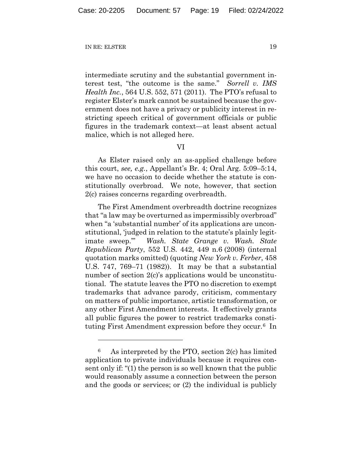intermediate scrutiny and the substantial government interest test, "the outcome is the same." *Sorrell v. IMS Health Inc.*, 564 U.S. 552, 571 (2011). The PTO's refusal to register Elster's mark cannot be sustained because the government does not have a privacy or publicity interest in restricting speech critical of government officials or public figures in the trademark context—at least absent actual malice, which is not alleged here.

### VI

As Elster raised only an as-applied challenge before this court, *see, e.g.*, Appellant's Br. 4; Oral Arg. 5:09–5:14, we have no occasion to decide whether the statute is constitutionally overbroad. We note, however, that section 2(c) raises concerns regarding overbreadth.

The First Amendment overbreadth doctrine recognizes that "a law may be overturned as impermissibly overbroad" when "a 'substantial number' of its applications are unconstitutional, 'judged in relation to the statute's plainly legitimate sweep.'" *Wash. State Grange v. Wash. State Republican Party*, 552 U.S. 442, 449 n.6 (2008) (internal quotation marks omitted) (quoting *New York v. Ferber*, 458 U.S. 747, 769–71 (1982)). It may be that a substantial number of section 2(c)'s applications would be unconstitutional. The statute leaves the PTO no discretion to exempt trademarks that advance parody, criticism, commentary on matters of public importance, artistic transformation, or any other First Amendment interests. It effectively grants all public figures the power to restrict trademarks constituting First Amendment expression before they occur.<sup>6</sup> In

<sup>6</sup> As interpreted by the PTO, section 2(c) has limited application to private individuals because it requires consent only if: "(1) the person is so well known that the public would reasonably assume a connection between the person and the goods or services; or (2) the individual is publicly